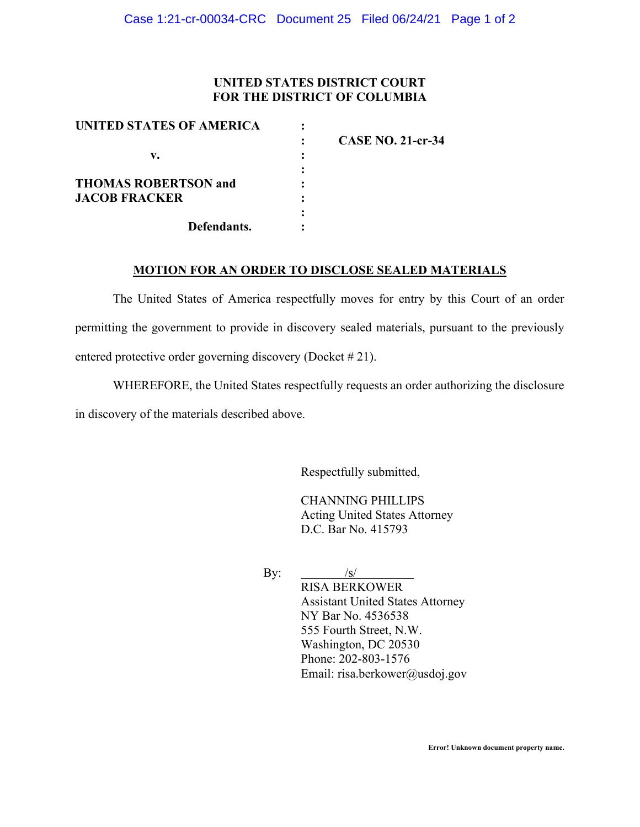## **UNITED STATES DISTRICT COURT FOR THE DISTRICT OF COLUMBIA**

| UNITED STATES OF AMERICA    |                          |
|-----------------------------|--------------------------|
|                             | <b>CASE NO. 21-cr-34</b> |
| v.                          |                          |
|                             |                          |
| <b>THOMAS ROBERTSON and</b> |                          |
| <b>JACOB FRACKER</b>        |                          |
|                             |                          |
| Defendants.                 |                          |
|                             |                          |

## **MOTION FOR AN ORDER TO DISCLOSE SEALED MATERIALS**

The United States of America respectfully moves for entry by this Court of an order permitting the government to provide in discovery sealed materials, pursuant to the previously entered protective order governing discovery (Docket # 21).

WHEREFORE, the United States respectfully requests an order authorizing the disclosure in discovery of the materials described above.

Respectfully submitted,

CHANNING PHILLIPS Acting United States Attorney D.C. Bar No. 415793

By:  $/s/$ 

RISA BERKOWER Assistant United States Attorney NY Bar No. 4536538 555 Fourth Street, N.W. Washington, DC 20530 Phone: 202-803-1576 Email: risa.berkower@usdoj.gov

**Error! Unknown document property name.**